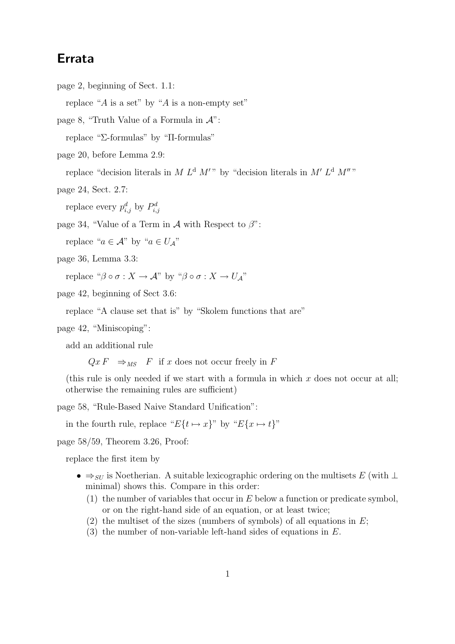## Errata

page 2, beginning of Sect. 1.1:

replace "A is a set" by "A is a non-empty set"

page 8, "Truth Value of a Formula in  $\mathcal{A}$ ":

replace "Σ-formulas" by "Π-formulas"

page 20, before Lemma 2.9:

replace "decision literals in M  $L^d$  M'" by "decision literals in M'  $L^d$  M'"

page 24, Sect. 2.7:

replace every  $p_{i,j}^d$  by  $P_{i,j}^d$ 

page 34, "Value of a Term in  $\mathcal A$  with Respect to  $\beta$ ":

replace " $a \in A$ " by " $a \in U_A$ "

page 36, Lemma 3.3:

replace " $\beta \circ \sigma : X \to \mathcal{A}$ " by " $\beta \circ \sigma : X \to U_A$ "

page 42, beginning of Sect 3.6:

replace "A clause set that is" by "Skolem functions that are"

page 42, "Miniscoping":

add an additional rule

 $Qx F \Rightarrow_{MS} F$  if x does not occur freely in F

(this rule is only needed if we start with a formula in which  $x$  does not occur at all; otherwise the remaining rules are sufficient)

page 58, "Rule-Based Naive Standard Unification":

in the fourth rule, replace " $E\{t \mapsto x\}$ " by " $E\{x \mapsto t\}$ "

page 58/59, Theorem 3.26, Proof:

replace the first item by

- $\Rightarrow_{SU}$  is Noetherian. A suitable lexicographic ordering on the multisets E (with  $\perp$ minimal) shows this. Compare in this order:
	- (1) the number of variables that occur in  $E$  below a function or predicate symbol, or on the right-hand side of an equation, or at least twice;
	- (2) the multiset of the sizes (numbers of symbols) of all equations in  $E$ ;
	- $(3)$  the number of non-variable left-hand sides of equations in E.